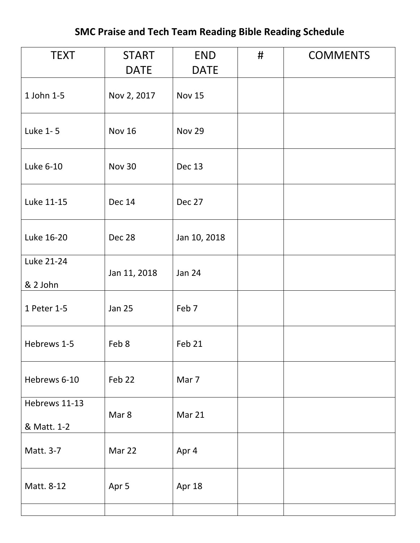## **SMC Praise and Tech Team Reading Bible Reading Schedule**

| <b>TEXT</b>                  | <b>START</b><br><b>DATE</b> | <b>END</b><br><b>DATE</b> | # | <b>COMMENTS</b> |
|------------------------------|-----------------------------|---------------------------|---|-----------------|
| 1 John 1-5                   | Nov 2, 2017                 | <b>Nov 15</b>             |   |                 |
| Luke 1-5                     | <b>Nov 16</b>               | <b>Nov 29</b>             |   |                 |
| Luke 6-10                    | <b>Nov 30</b>               | Dec 13                    |   |                 |
| Luke 11-15                   | <b>Dec 14</b>               | Dec 27                    |   |                 |
| Luke 16-20                   | Dec 28                      | Jan 10, 2018              |   |                 |
| Luke 21-24<br>& 2 John       | Jan 11, 2018                | <b>Jan 24</b>             |   |                 |
| 1 Peter 1-5                  | <b>Jan 25</b>               | Feb 7                     |   |                 |
| Hebrews 1-5                  | Feb 8                       | Feb 21                    |   |                 |
| Hebrews 6-10                 | Feb 22                      | Mar 7                     |   |                 |
| Hebrews 11-13<br>& Matt. 1-2 | Mar 8                       | Mar 21                    |   |                 |
| Matt. 3-7                    | Mar 22                      | Apr 4                     |   |                 |
| Matt. 8-12                   | Apr 5                       | Apr 18                    |   |                 |
|                              |                             |                           |   |                 |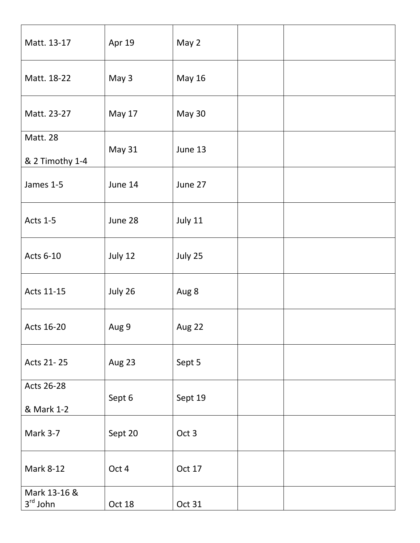| Matt. 13-17                        | Apr 19        | May 2         |  |
|------------------------------------|---------------|---------------|--|
| Matt. 18-22                        | May 3         | <b>May 16</b> |  |
| Matt. 23-27                        | May 17        | <b>May 30</b> |  |
| <b>Matt. 28</b><br>& 2 Timothy 1-4 | <b>May 31</b> | June 13       |  |
| James 1-5                          | June 14       | June 27       |  |
| Acts 1-5                           | June 28       | July 11       |  |
| Acts 6-10                          | July 12       | July 25       |  |
| Acts 11-15                         | July 26       | Aug 8         |  |
| Acts 16-20                         | Aug 9         | Aug 22        |  |
| Acts 21-25                         | Aug 23        | Sept 5        |  |
| Acts 26-28<br>& Mark 1-2           | Sept 6        | Sept 19       |  |
| Mark 3-7                           | Sept 20       | Oct 3         |  |
| <b>Mark 8-12</b>                   | Oct 4         | Oct 17        |  |
| Mark 13-16 &<br>$3rd$ John         | Oct 18        | Oct 31        |  |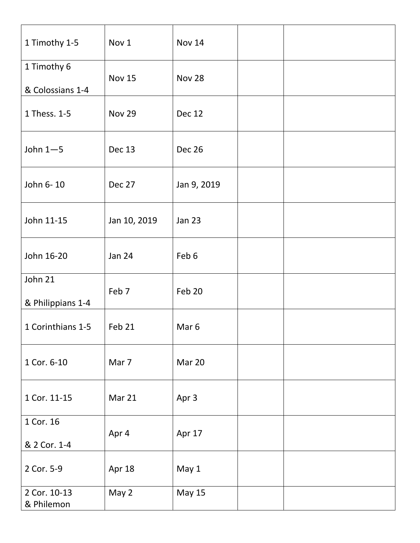| 1 Timothy 1-5                   | Nov 1         | <b>Nov 14</b>    |  |
|---------------------------------|---------------|------------------|--|
| 1 Timothy 6<br>& Colossians 1-4 | <b>Nov 15</b> | <b>Nov 28</b>    |  |
| 1 Thess. 1-5                    | <b>Nov 29</b> | <b>Dec 12</b>    |  |
| John $1 - 5$                    | Dec 13        | <b>Dec 26</b>    |  |
| John 6-10                       | Dec 27        | Jan 9, 2019      |  |
| John 11-15                      | Jan 10, 2019  | <b>Jan 23</b>    |  |
| John 16-20                      | <b>Jan 24</b> | Feb 6            |  |
| John 21<br>& Philippians 1-4    | Feb 7         | Feb 20           |  |
| 1 Corinthians 1-5               | Feb 21        | Mar <sub>6</sub> |  |
| 1 Cor. 6-10                     | Mar 7         | Mar 20           |  |
| 1 Cor. 11-15                    | Mar 21        | Apr 3            |  |
| 1 Cor. 16<br>& 2 Cor. 1-4       | Apr 4         | Apr 17           |  |
| 2 Cor. 5-9                      | Apr 18        | May 1            |  |
| 2 Cor. 10-13<br>& Philemon      | May 2         | <b>May 15</b>    |  |